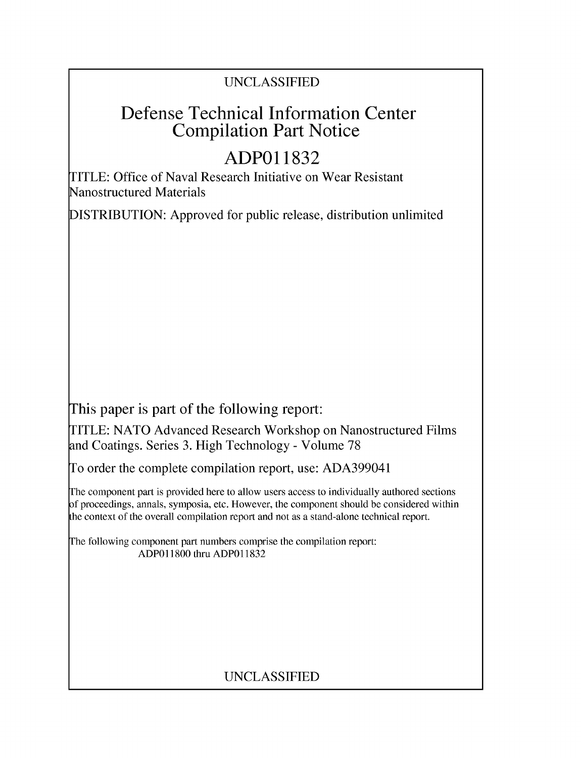# UNCLASSIFIED

# Defense Technical Information Center Compilation Part Notice

# **ADPO1 1832**

TITLE: Office of Naval Research Initiative on Wear Resistant Nanostructured Materials

DISTRIBUTION: Approved for public release, distribution unlimited

This paper is part of the following report:

TITLE: NATO Advanced Research Workshop on Nanostructured Films and Coatings. Series 3. High Technology - Volume 78

To order the complete compilation report, use: ADA399041

The component part is provided here to allow users access to individually authored sections f proceedings, annals, symposia, etc. However, the component should be considered within [he context of the overall compilation report and not as a stand-alone technical report.

The following component part numbers comprise the compilation report: ADPO11800 thru ADP011832

# UNCLASSIFIED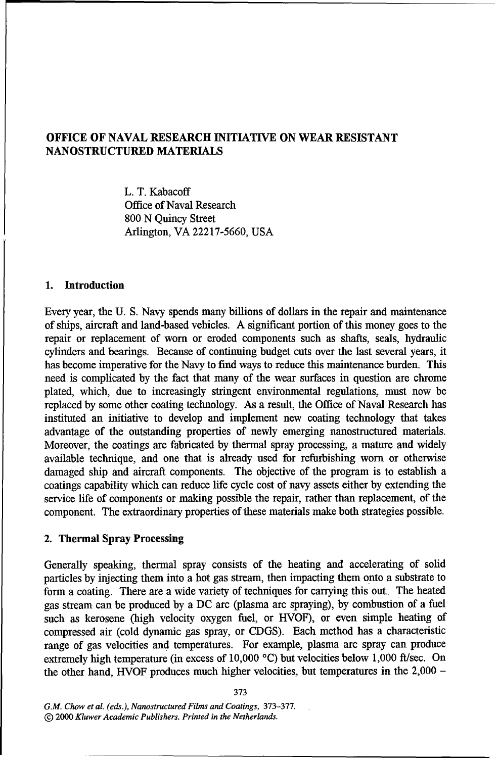## **OFFICE** OF **NAVAL** RESEARCH INITIATIVE **ON** WEAR **RESISTANT NANOSTRUCTURED** MATERIALS

L. T. Kabacoff Office of Naval Research 800 N Quincy Street Arlington, VA 22217-5660, USA

#### 1. Introduction

Every year, the U. S. Navy spends many billions of dollars in the repair and maintenance of ships, aircraft and land-based vehicles. A significant portion of this money goes to the repair or replacement of worn or eroded components such as shafts, seals, hydraulic cylinders and bearings. Because of continuing budget cuts over the last several years, it has become imperative for the Navy to find ways to reduce this maintenance burden. This need is complicated by the fact that many of the wear surfaces in question are chrome plated, which, due to increasingly stringent environmental regulations, must now be replaced by some other coating technology. As a result, the Office of Naval Research has instituted an initiative to develop and implement new coating technology that takes advantage of the outstanding properties of newly emerging nanostructured materials. Moreover, the coatings are fabricated by thermal spray processing, a mature and widely available technique, and one that is already used for refurbishing worn or otherwise damaged ship and aircraft components. The objective of the program is to establish a coatings capability which can reduce life cycle cost of navy assets either by extending the service life of components or making possible the repair, rather than replacement, of the component. The extraordinary properties of these materials make both strategies possible.

#### 2. Thermal Spray Processing

Generally speaking, thermal spray consists of the heating and accelerating of solid particles by injecting them into a hot gas stream, then impacting them onto a substrate to form a coating. There are a wide variety of techniques for carrying this out.. The heated gas stream can be produced by a DC arc (plasma arc spraying), by combustion of a fuel such as kerosene (high velocity oxygen fuel, or HVOF), or even simple heating of compressed air (cold dynamic gas spray, or CDGS). Each method has a characteristic range of gas velocities and temperatures. For example, plasma arc spray can produce extremely high temperature (in excess of 10,000 **'C)** but velocities below 1,000 ft/sec. On the other hand, HVOF produces much higher velocities, but temperatures in the  $2,000 -$ 

*G.M. Chow et al. (eds.), Nanostructured Films and Coatings,* 373-377. **Q** 2000 *Kluwer Academic Publishers. Printed in the Netherlands.*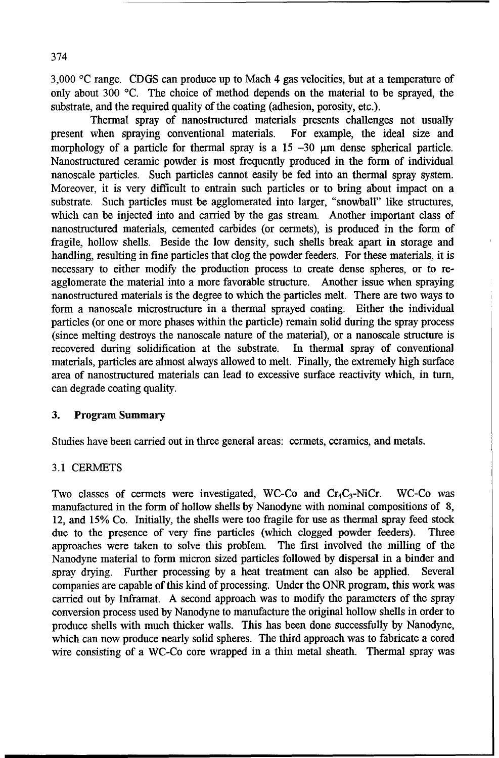3,000 °C range. **CDGS** can produce up to Mach 4 gas velocities, but at a temperature of only about 300 **'C.** The choice of method depends on the material to be sprayed, the substrate, and the required quality of the coating (adhesion, porosity, etc.).

Thermal spray of nanostructured materials presents challenges not usually present when spraying conventional materials. For example, the ideal size and morphology of a particle for thermal spray is a  $15 -30$   $\mu$ m dense spherical particle. Nanostructured ceramic powder is most frequently produced in the form of individual nanoscale particles. Such particles cannot easily be fed into an thermal spray system. Moreover, it is very difficult to entrain such particles or to bring about impact on a substrate. Such particles must be agglomerated into larger, "snowball" like structures, which can be injected into and carried by the gas stream. Another important class of nanostructured materials, cemented carbides (or cermets), is produced in the form of fragile, hollow shells. Beside the low density, such shells break apart in storage and handling, resulting in fine particles that clog the powder feeders. For these materials, it is necessary to either modify the production process to create dense spheres, or to reagglomerate the material into a more favorable structure. Another issue when spraying nanostructured materials is the degree to which the particles melt. There are two ways to form a nanoscale microstructure in a thermal sprayed coating. Either the individual particles (or one or more phases within the particle) remain solid during the spray process (since melting destroys the nanoscale nature of the material), or a nanoscale structure is recovered during solidification at the substrate. In thermal spray of conventional materials, particles are almost always allowed to melt. Finally, the extremely high surface area of nanostructured materials can lead to excessive surface reactivity which, in turn, can degrade coating quality.

#### 3. Program Summary

Studies have been carried out in three general areas: cermets, ceramics, and metals.

### 3.1 CERMETS

Two classes of cermets were investigated, WC-Co and  $Cr_4C_3-NiCr$ . WC-Co was manufactured in the form of hollow shells by Nanodyne with nominal compositions of 8, 12, and 15% Co. Initially, the shells were too fragile for use as thermal spray feed stock due to the presence of very fine particles (which clogged powder feeders). Three approaches were taken to solve this problem. The first involved the milling of the Nanodyne material to form micron sized particles followed by dispersal in a binder and spray drying. Further processing by a heat treatment can also be applied. Several companies are capable of this kind of processing. Under the ONR program, this work was carried out by Inframat. A second approach was to modify the parameters of the spray conversion process used by Nanodyne to manufacture the original hollow shells in order to produce shells with much thicker walls. This has been done successfully by Nanodyne, which can now produce nearly solid spheres. The third approach was to fabricate a cored wire consisting of a WC-Co core wrapped in a thin metal sheath. Thermal spray was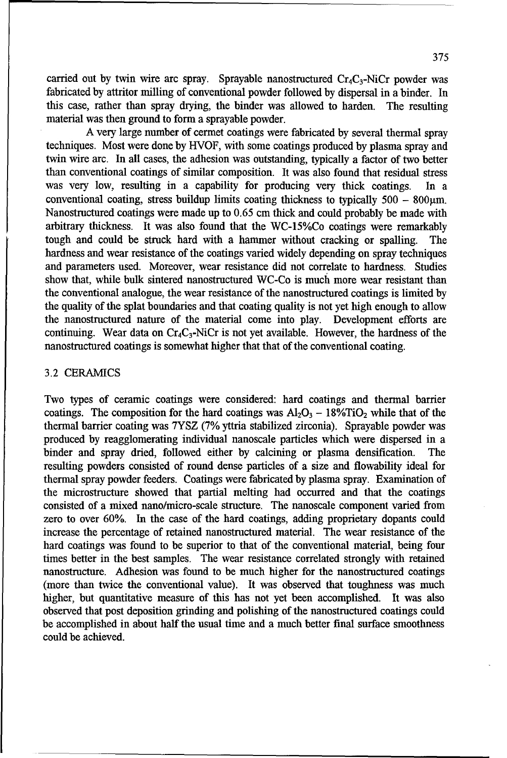carried out by twin wire arc spray. Sprayable nanostructured  $Cr_4C_3-NiCr$  powder was fabricated by attritor milling of conventional powder followed by dispersal in a binder. In this case, rather than spray drying, the binder was allowed to harden. The resulting material was then ground to form a sprayable powder.

A very large number of cermet coatings were fabricated by several thermal spray techniques. Most were done by HVOF, with some coatings produced by plasma spray and twin wire arc. In all cases, the adhesion was outstanding, typically a factor of two better than conventional coatings of similar composition. It was also found that residual stress was very low, resulting in a capability for producing very thick coatings. In a conventional coating, stress buildup limits coating thickness to typically  $500 - 800 \mu m$ . Nanostructured coatings were made up to 0.65 cm thick and could probably be made with arbitrary thickness. It was also found that the WC-15%Co coatings were remarkably tough and could be struck hard with a hammer without cracking or spalling. The hardness and wear resistance of the coatings varied widely depending on spray techniques and parameters used. Moreover, wear resistance did not correlate to hardness. Studies show that, while bulk sintered nanostructured WC-Co is much more wear resistant than the conventional analogue, the wear resistance of the nanostructured coatings is limited by the quality of the splat boundaries and that coating quality is not yet high enough to allow the nanostructured nature of the material come into play. Development efforts are continuing. Wear data on  $Cr_4C_3$ -NiCr is not yet available. However, the hardness of the nanostructured coatings is somewhat higher that that of the conventional coating.

#### 3.2 CERAMICS

Two types of ceramic coatings were considered: hard coatings and thermal barrier coatings. The composition for the hard coatings was  $Al_2O_3 - 18\%$  TiO<sub>2</sub> while that of the thermal barrier coating was 7YSZ (7% yttria stabilized zirconia). Sprayable powder was produced by reagglomerating individual nanoscale particles which were dispersed in a binder and spray dried, followed either by calcining or plasma densification. The resulting powders consisted of round dense particles of a size and flowability ideal for thermal spray powder feeders. Coatings were fabricated by plasma spray. Examination of the microstructure showed that partial melting had occurred and that the coatings consisted of a mixed nano/micro-scale structure. The nanoscale component varied from zero to over 60%. In the case of the hard coatings, adding proprietary dopants could increase the percentage of retained nanostructured material. The wear resistance of the hard coatings was found to be superior to that of the conventional material, being four times better in the best samples. The wear resistance correlated strongly with retained nanostructure. Adhesion was found to be much higher for the nanostructured coatings (more than twice the conventional value). It was observed that toughness was much higher, but quantitative measure of this has not yet been accomplished. It was also observed that post deposition grinding and polishing of the nanostructured coatings could be accomplished in about half the usual time and a much better final surface smoothness could be achieved.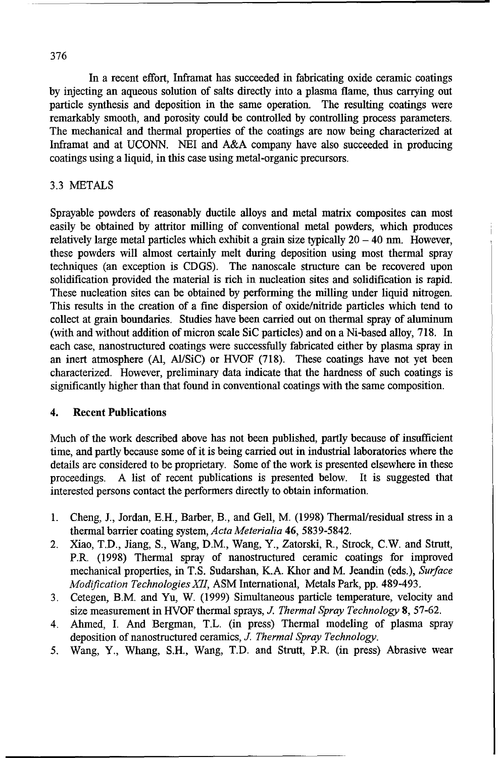In a recent effort, Inframat has succeeded in fabricating oxide ceramic coatings by injecting an aqueous solution of salts directly into a plasma flame, thus carrying out particle synthesis and deposition in the same operation. The resulting coatings were remarkably smooth, and porosity could be controlled by controlling process parameters. The mechanical and thermal properties of the coatings are now being characterized at Inframat and at UCONN. NEI and A&A company have also succeeded in producing coatings using a liquid, in this case using metal-organic precursors.

## 3.3 METALS

Sprayable powders of reasonably ductile alloys and metal matrix composites can most easily be obtained by attritor milling of conventional metal powders, which produces relatively large metal particles which exhibit a grain size typically  $20 - 40$  nm. However, these powders will almost certainly melt during deposition using most thermal spray techniques (an exception is CDGS). The nanoscale structure can be recovered upon solidification provided the material is rich in nucleation sites and solidification is rapid. These nucleation sites can be obtained by performing the milling under liquid nitrogen. This results in the creation of a fine dispersion of oxide/nitride particles which tend to collect at grain boundaries. Studies have been carried out on thermal spray of aluminum (with and without addition of micron scale SiC particles) and on a Ni-based alloy, 718. In each case, nanostructured coatings were successfully fabricated either by plasma spray in an inert atmosphere (Al, AI/SiC) or HVOF (718). These coatings have not yet been characterized. However, preliminary data indicate that the hardness of such coatings is significantly higher than that found in conventional coatings with the same composition.

### 4. Recent Publications

Much of the work described above has not been published, partly because of insufficient time, and partly because some of it is being carried out in industrial laboratories where the details are considered to be proprietary. Some of the work is presented elsewhere in these proceedings. A list of recent publications is presented below. It is suggested that interested persons contact the performers directly to obtain information.

- 1. Cheng, J., Jordan, E.H., Barber, B., and Gell, M. (1998) Thermal/residual stress in a thermal barrier coating system, *Acta Meterialia* 46, 5839-5842.
- 2. Xiao, T.D., Jiang, S., Wang, D.M., Wang, Y., Zatorski, R., Strock, C.W. and Strutt, P.R. (1998) Thermal spray of nanostructured ceramic coatings for improved mechanical properties, in T.S. Sudarshan, K.A. Khor and M. Jeandin (eds.), *Surface Modification Technologies X11,* ASM International, Metals Park, pp. 489-493.
- 3. Cetegen, B.M. and Yu, W. (1999) Simultaneous particle temperature, velocity and size measurement in HVOF thermal sprays, *J1. Thermal Spray Technology* **8,** 57-62.
- 4. Ahmed, I. And Bergman, T.L. (in press) Thermal modeling of plasma spray deposition of nanostructured ceramics, *J. Thermal Spray Technology.*
- *5.* Wang, Y., Whang, S.H., Wang, T.D. and Strutt, P.R. (in press) Abrasive wear